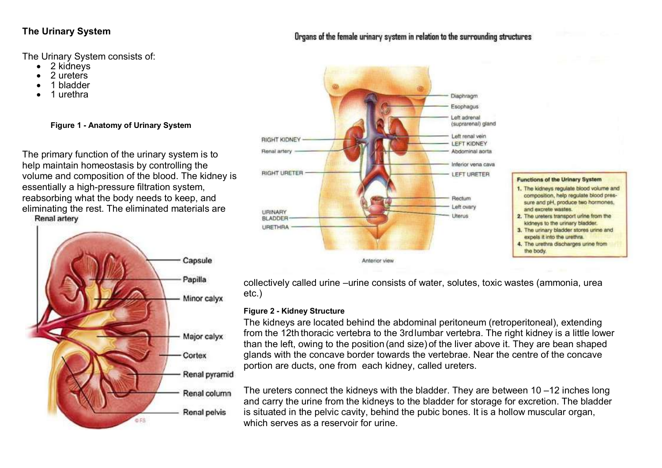## **The Urinary System**

The Urinary System consists of:

- 2 kidneys
- 2 ureters
- 1 bladder
- 1 urethra

**Figure 1 - Anatomy of Urinary System**

The primary function of the urinary system is to help maintain homeostasis by controlling the volume and composition of the blood. The kidney is essentially a high-pressure filtration system, reabsorbing what the body needs to keep, and eliminating the rest. The eliminated materials are Renal artery





## Organs of the female urinary system in relation to the surrounding structures



- sure and pH, produce two hormones, and excrete wastes.
- 2. The ureters transport urine from the kidneys to the urinary bladder.
- 3. The urinary bladder stores urine and expels it into the urethra.
- 4. The urethra discharges urine from the body.

collectively called urine –urine consists of water, solutes, toxic wastes (ammonia, urea etc.)

#### **Figure 2 - Kidney Structure**

The kidneys are located behind the abdominal peritoneum (retroperitoneal), extending from the 12th thoracic vertebra to the 3rdlumbar vertebra. The right kidney is a little lower than the left, owing to the position (and size) of the liver above it. They are bean shaped glands with the concave border towards the vertebrae. Near the centre of the concave portion are ducts, one from each kidney, called ureters.

The ureters connect the kidneys with the bladder. They are between 10 –12 inches long and carry the urine from the kidneys to the bladder for storage for excretion. The bladder is situated in the pelvic cavity, behind the pubic bones. It is a hollow muscular organ, which serves as a reservoir for urine.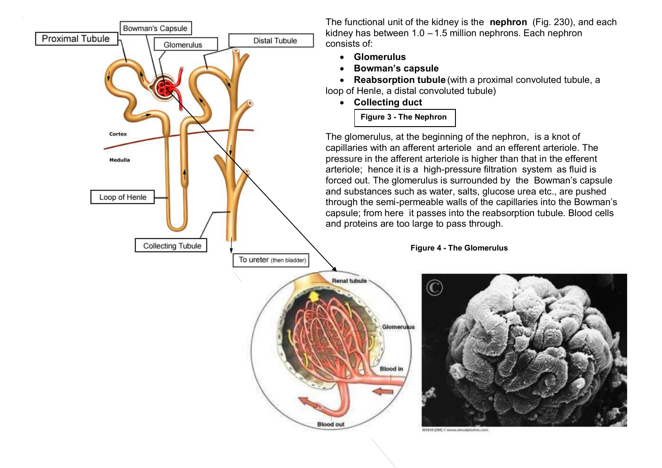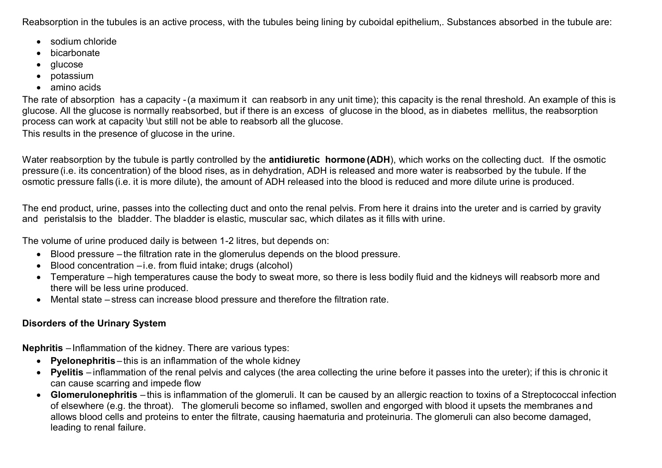Reabsorption in the tubules is an active process, with the tubules being lining by cuboidal epithelium,. Substances absorbed in the tubule are:

- sodium chloride
- bicarbonate
- glucose
- potassium
- amino acids

The rate of absorption has a capacity -(a maximum it can reabsorb in any unit time); this capacity is the renal threshold. An example of this is glucose. All the glucose is normally reabsorbed, but if there is an excess of glucose in the blood, as in diabetes mellitus, the reabsorption process can work at capacity \but still not be able to reabsorb all the glucose.

This results in the presence of glucose in the urine.

Water reabsorption by the tubule is partly controlled by the **antidiuretic hormone (ADH**), which works on the collecting duct. If the osmotic pressure (i.e. its concentration) of the blood rises, as in dehydration, ADH is released and more water is reabsorbed by the tubule. If the osmotic pressure falls (i.e. it is more dilute), the amount of ADH released into the blood is reduced and more dilute urine is produced.

The end product, urine, passes into the collecting duct and onto the renal pelvis. From here it drains into the ureter and is carried by gravity and peristalsis to the bladder. The bladder is elastic, muscular sac, which dilates as it fills with urine.

The volume of urine produced daily is between 1-2 litres, but depends on:

- Blood pressure the filtration rate in the glomerulus depends on the blood pressure.
- Blood concentration –i.e. from fluid intake; drugs (alcohol)
- Temperature high temperatures cause the body to sweat more, so there is less bodily fluid and the kidneys will reabsorb more and there will be less urine produced.
- Mental state stress can increase blood pressure and therefore the filtration rate.

# **Disorders of the Urinary System**

**Nephritis** – Inflammation of the kidney. There are various types:

- **Pyelonephritis** this is an inflammation of the whole kidney
- **Pyelitis** inflammation of the renal pelvis and calyces (the area collecting the urine before it passes into the ureter); if this is chronic it can cause scarring and impede flow
- **Glomerulonephritis** this is inflammation of the glomeruli. It can be caused by an allergic reaction to toxins of a Streptococcal infection of elsewhere (e.g. the throat). The glomeruli become so inflamed, swollen and engorged with blood it upsets the membranes and allows blood cells and proteins to enter the filtrate, causing haematuria and proteinuria. The glomeruli can also become damaged, leading to renal failure.